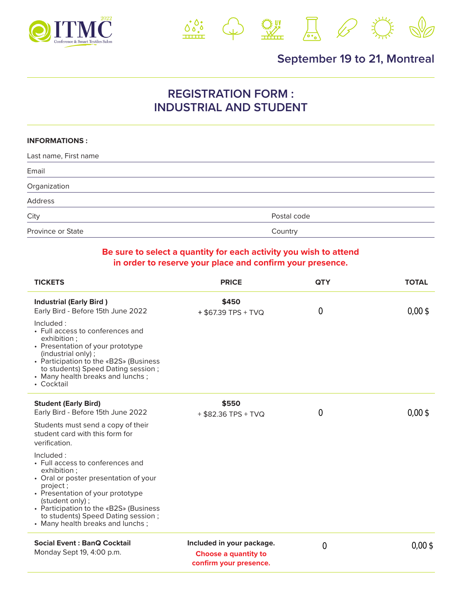



## **September 19 to 21, Montreal**

## **REGISTRATION FORM : INDUSTRIAL AND STUDENT**

## **INFORMATIONS :**

| Last name, First name |             |
|-----------------------|-------------|
| Email                 |             |
| Organization          |             |
| Address               |             |
| City                  | Postal code |
| Province or State     | Country     |

## **Be sure to select a quantity for each activity you wish to attend in order to reserve your place and confirm your presence.**

| <b>TICKETS</b>                                                                                                                                                                                                                                                                                                                                                                                                           | <b>PRICE</b>                                                                       | <b>QTY</b>       | <b>TOTAL</b>       |
|--------------------------------------------------------------------------------------------------------------------------------------------------------------------------------------------------------------------------------------------------------------------------------------------------------------------------------------------------------------------------------------------------------------------------|------------------------------------------------------------------------------------|------------------|--------------------|
| <b>Industrial (Early Bird)</b><br>Early Bird - Before 15th June 2022<br>Included:<br>• Full access to conferences and<br>exhibition ;<br>• Presentation of your prototype<br>(industrial only);<br>• Participation to the «B2S» (Business<br>to students) Speed Dating session;<br>• Many health breaks and lunchs;<br>• Cocktail                                                                                        | \$450<br>+ \$67.39 TPS + TVQ                                                       | $\bf{0}$         | $0,00 \text{ }$ \$ |
| <b>Student (Early Bird)</b><br>Early Bird - Before 15th June 2022<br>Students must send a copy of their<br>student card with this form for<br>verification.<br>Included:<br>• Full access to conferences and<br>exhibition ;<br>• Oral or poster presentation of your<br>project;<br>• Presentation of your prototype<br>(student only);<br>• Participation to the «B2S» (Business<br>to students) Speed Dating session; | \$550<br>+ \$82.36 TPS + TVQ                                                       | $\bf{0}$         | $0,00 \text{ }$ \$ |
| • Many health breaks and lunchs;<br><b>Social Event: BanQ Cocktail</b><br>Monday Sept 19, 4:00 p.m.                                                                                                                                                                                                                                                                                                                      | Included in your package.<br><b>Choose a quantity to</b><br>confirm your presence. | $\boldsymbol{0}$ | $0,00 \text{ }$ \$ |